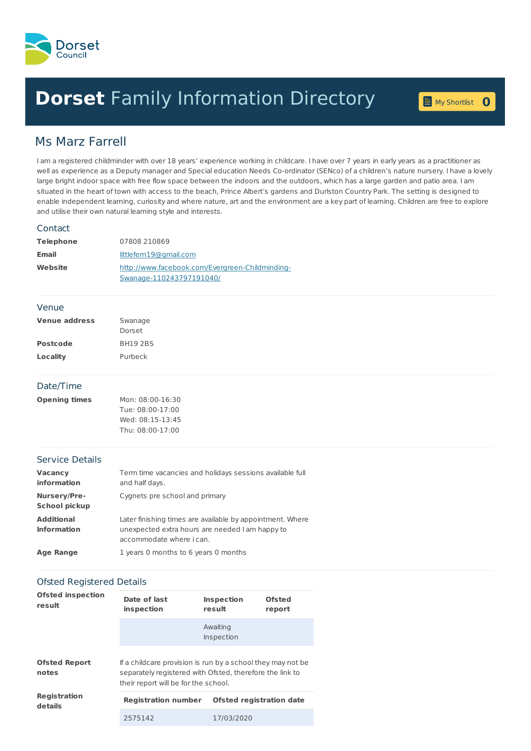

# **Dorset** Family [Information](home.page) Directory **0**

My [Shortlist](shortlist.page)

# Ms Marz Farrell

I am a registered childminder with over 18 years' experience working in childcare. I have over 7 years in early years as a practitioner as well as experience as a Deputy manager and Special education Needs Co-ordinator (SENco) of a children's nature nursery. I have a lovely large bright indoor space with free flow space between the indoors and the outdoors, which has a large garden and patio area. I am situated in the heart of town with access to the beach, Prince Albert's gardens and Durlston Country Park. The setting is designed to enable independent learning, curiosity and where nature, art and the environment are a key part of learning. Children are free to explore and utilise their own natural learning style and interests.

#### **Contact**

| <b>Telephone</b> | 07808 210869                                    |
|------------------|-------------------------------------------------|
| <b>Email</b>     | littlefem19@gmail.com                           |
| Website          | http://www.facebook.com/Evergreen-Childminding- |
|                  | Swanage-110243797191040/                        |

#### Venue

| <b>Venue address</b> | Swanage         |  |
|----------------------|-----------------|--|
|                      | Dorset          |  |
| <b>Postcode</b>      | <b>BH19 2BS</b> |  |
| Locality             | Purbeck         |  |

## Date/Time

| <b>Opening times</b> | Mon: 08:00-16:30 |
|----------------------|------------------|
|                      | Tue: 08:00-17:00 |
|                      | Wed: 08:15-13:45 |
|                      | Thu: 08:00-17:00 |

# Service Details

| <b>Vacancy</b><br><b>information</b>    | Term time vacancies and holidays sessions available full<br>and half days.                                                               |
|-----------------------------------------|------------------------------------------------------------------------------------------------------------------------------------------|
| Nursery/Pre-<br><b>School pickup</b>    | Cygnets pre school and primary                                                                                                           |
| <b>Additional</b><br><b>Information</b> | Later finishing times are available by appointment. Where<br>unexpected extra hours are needed I am happy to<br>accommodate where i can. |
| <b>Age Range</b>                        | 1 years 0 months to 6 years 0 months                                                                                                     |

# Ofsted Registered Details

| <b>Ofsted inspection</b><br>result |                                                                                                                                                                 |                                 |                  |
|------------------------------------|-----------------------------------------------------------------------------------------------------------------------------------------------------------------|---------------------------------|------------------|
|                                    | Date of last<br>inspection                                                                                                                                      | <b>Inspection</b><br>result     | Ofsted<br>report |
|                                    |                                                                                                                                                                 | Awaiting<br>Inspection          |                  |
| <b>Ofsted Report</b><br>notes      | If a childcare provision is run by a school they may not be<br>separately registered with Ofsted, therefore the link to<br>their report will be for the school. |                                 |                  |
| <b>Registration</b><br>details     | <b>Registration number</b>                                                                                                                                      | <b>Ofsted registration date</b> |                  |
|                                    | 2575142                                                                                                                                                         | 17/03/2020                      |                  |